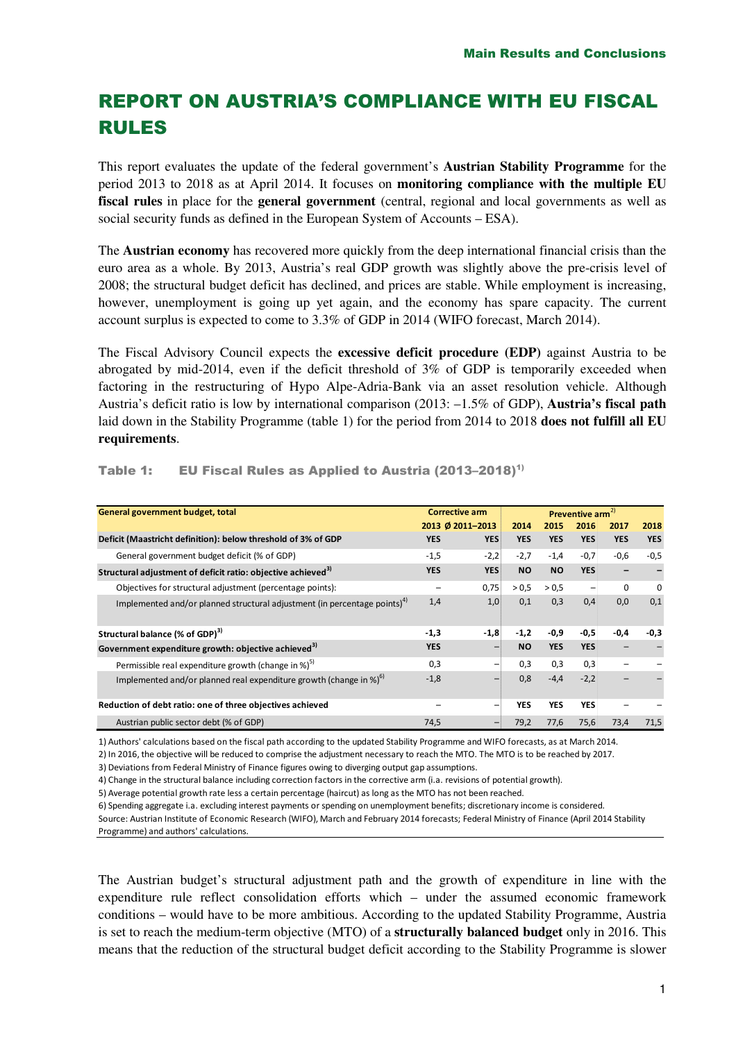# REPORT ON AUSTRIA'S COMPLIANCE WITH EU FISCAL RULES

This report evaluates the update of the federal government's **Austrian Stability Programme** for the period 2013 to 2018 as at April 2014. It focuses on **monitoring compliance with the multiple EU fiscal rules** in place for the **general government** (central, regional and local governments as well as social security funds as defined in the European System of Accounts – ESA).

The **Austrian economy** has recovered more quickly from the deep international financial crisis than the euro area as a whole. By 2013, Austria's real GDP growth was slightly above the pre-crisis level of 2008; the structural budget deficit has declined, and prices are stable. While employment is increasing, however, unemployment is going up yet again, and the economy has spare capacity. The current account surplus is expected to come to 3.3% of GDP in 2014 (WIFO forecast, March 2014).

The Fiscal Advisory Council expects the **excessive deficit procedure (EDP)** against Austria to be abrogated by mid-2014, even if the deficit threshold of 3% of GDP is temporarily exceeded when factoring in the restructuring of Hypo Alpe-Adria-Bank via an asset resolution vehicle. Although Austria's deficit ratio is low by international comparison (2013: –1.5% of GDP), **Austria's fiscal path**  laid down in the Stability Programme (table 1) for the period from 2014 to 2018 **does not fulfill all EU requirements**.

| General government budget, total                                                      | <b>Corrective arm</b> |                  | Preventive arm <sup>2)</sup> |            |            |            |            |
|---------------------------------------------------------------------------------------|-----------------------|------------------|------------------------------|------------|------------|------------|------------|
|                                                                                       |                       | 2013 Ø 2011-2013 | 2014                         | 2015       | 2016       | 2017       | 2018       |
| Deficit (Maastricht definition): below threshold of 3% of GDP                         | <b>YES</b>            | <b>YES</b>       | <b>YES</b>                   | <b>YES</b> | <b>YES</b> | <b>YES</b> | <b>YES</b> |
| General government budget deficit (% of GDP)                                          | $-1,5$                | $-2,2$           | $-2,7$                       | $-1,4$     | $-0,7$     | $-0,6$     | $-0,5$     |
| Structural adjustment of deficit ratio: objective achieved <sup>3)</sup>              | <b>YES</b>            | <b>YES</b>       | <b>NO</b>                    | <b>NO</b>  | <b>YES</b> |            |            |
| Objectives for structural adjustment (percentage points):                             |                       | 0,75             | > 0.5                        | > 0.5      | -          | $\Omega$   | $\Omega$   |
| Implemented and/or planned structural adjustment (in percentage points) <sup>4)</sup> | 1,4                   | 1,0              | 0,1                          | 0,3        | 0,4        | 0,0        | 0,1        |
| Structural balance (% of GDP) <sup>3)</sup>                                           | $-1,3$                | $-1,8$           | $-1,2$                       | $-0,9$     | $-0,5$     | $-0,4$     | $-0,3$     |
| Government expenditure growth: objective achieved <sup>3)</sup>                       | <b>YES</b>            |                  | <b>NO</b>                    | <b>YES</b> | <b>YES</b> |            |            |
| Permissible real expenditure growth (change in $\frac{1}{2}$ ) <sup>5)</sup>          | 0,3                   |                  | 0,3                          | 0,3        | 0,3        |            |            |
| Implemented and/or planned real expenditure growth (change in %) $^{6}$ )             | $-1,8$                |                  | 0,8                          | $-4,4$     | $-2,2$     |            |            |
| Reduction of debt ratio: one of three objectives achieved                             |                       | -                | <b>YES</b>                   | <b>YES</b> | <b>YES</b> |            |            |
| Austrian public sector debt (% of GDP)                                                | 74,5                  |                  | 79,2                         | 77,6       | 75,6       | 73,4       | 71,5       |

Table 1: EU Fiscal Rules as Applied to Austria (2013-2018)<sup>1)</sup>

1) Authors' calculations based on the fiscal path according to the updated Stability Programme and WIFO forecasts, as at March 2014.

2) In 2016, the objective will be reduced to comprise the adjustment necessary to reach the MTO. The MTO is to be reached by 2017.

3) Deviations from Federal Ministry of Finance figures owing to diverging output gap assumptions.

4) Change in the structural balance including correction factors in the corrective arm (i.a. revisions of potential growth).

5) Average potential growth rate less a certain percentage (haircut) as long as the MTO has not been reached.

6) Spending aggregate i.a. excluding interest payments or spending on unemployment benefits; discretionary income is considered.

Source: Austrian Institute of Economic Research (WIFO), March and February 2014 forecasts; Federal Ministry of Finance (April 2014 Stability Programme) and authors' calculations.

The Austrian budget's structural adjustment path and the growth of expenditure in line with the expenditure rule reflect consolidation efforts which – under the assumed economic framework conditions – would have to be more ambitious. According to the updated Stability Programme, Austria is set to reach the medium-term objective (MTO) of a **structurally balanced budget** only in 2016. This means that the reduction of the structural budget deficit according to the Stability Programme is slower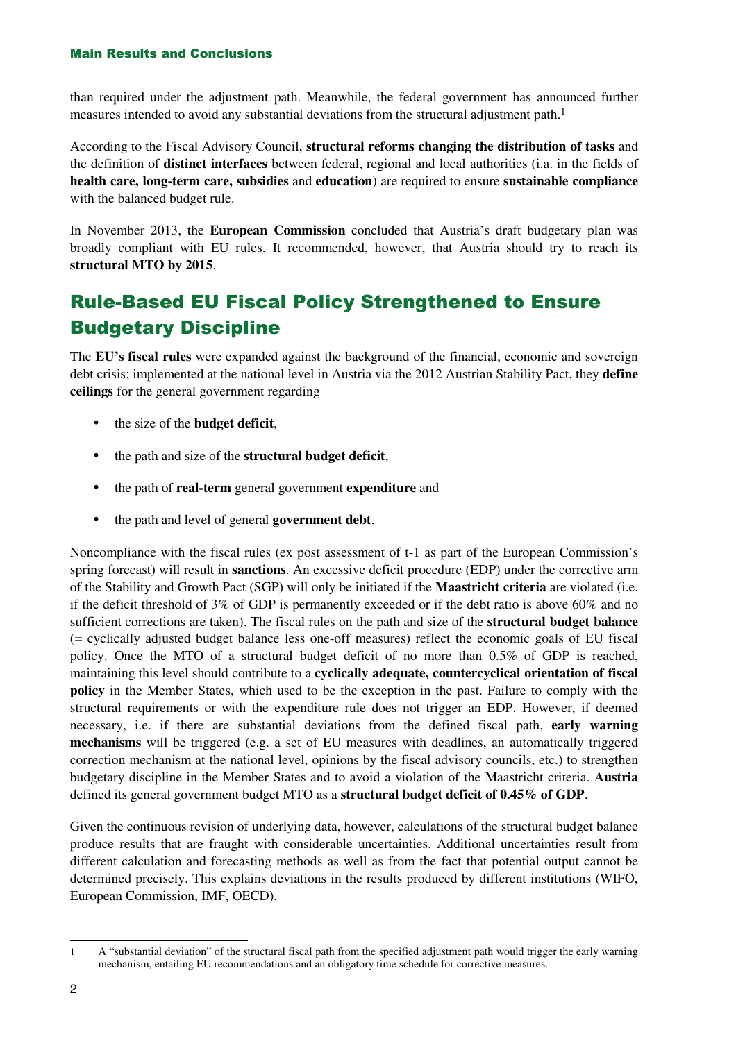#### Main Results and Conclusions

than required under the adjustment path. Meanwhile, the federal government has announced further measures intended to avoid any substantial deviations from the structural adjustment path.<sup>1</sup>

According to the Fiscal Advisory Council, **structural reforms changing the distribution of tasks** and the definition of **distinct interfaces** between federal, regional and local authorities (i.a. in the fields of **health care, long-term care, subsidies** and **education**) are required to ensure **sustainable compliance** with the balanced budget rule.

In November 2013, the **European Commission** concluded that Austria's draft budgetary plan was broadly compliant with EU rules. It recommended, however, that Austria should try to reach its **structural MTO by 2015**.

# Rule-Based EU Fiscal Policy Strengthened to Ensure Budgetary Discipline

The **EU's fiscal rules** were expanded against the background of the financial, economic and sovereign debt crisis; implemented at the national level in Austria via the 2012 Austrian Stability Pact, they **define ceilings** for the general government regarding

- the size of the **budget deficit**,
- the path and size of the **structural budget deficit**,
- the path of **real-term** general government **expenditure** and
- the path and level of general **government debt**.

Noncompliance with the fiscal rules (ex post assessment of t-1 as part of the European Commission's spring forecast) will result in **sanctions**. An excessive deficit procedure (EDP) under the corrective arm of the Stability and Growth Pact (SGP) will only be initiated if the **Maastricht criteria** are violated (i.e. if the deficit threshold of 3% of GDP is permanently exceeded or if the debt ratio is above 60% and no sufficient corrections are taken). The fiscal rules on the path and size of the **structural budget balance**  (= cyclically adjusted budget balance less one-off measures) reflect the economic goals of EU fiscal policy. Once the MTO of a structural budget deficit of no more than 0.5% of GDP is reached, maintaining this level should contribute to a **cyclically adequate, countercyclical orientation of fiscal policy** in the Member States, which used to be the exception in the past. Failure to comply with the structural requirements or with the expenditure rule does not trigger an EDP. However, if deemed necessary, i.e. if there are substantial deviations from the defined fiscal path, **early warning mechanisms** will be triggered (e.g. a set of EU measures with deadlines, an automatically triggered correction mechanism at the national level, opinions by the fiscal advisory councils, etc.) to strengthen budgetary discipline in the Member States and to avoid a violation of the Maastricht criteria. **Austria** defined its general government budget MTO as a **structural budget deficit of 0.45% of GDP**.

Given the continuous revision of underlying data, however, calculations of the structural budget balance produce results that are fraught with considerable uncertainties. Additional uncertainties result from different calculation and forecasting methods as well as from the fact that potential output cannot be determined precisely. This explains deviations in the results produced by different institutions (WIFO, European Commission, IMF, OECD).

<sup>1</sup> A "substantial deviation" of the structural fiscal path from the specified adjustment path would trigger the early warning mechanism, entailing EU recommendations and an obligatory time schedule for corrective measures.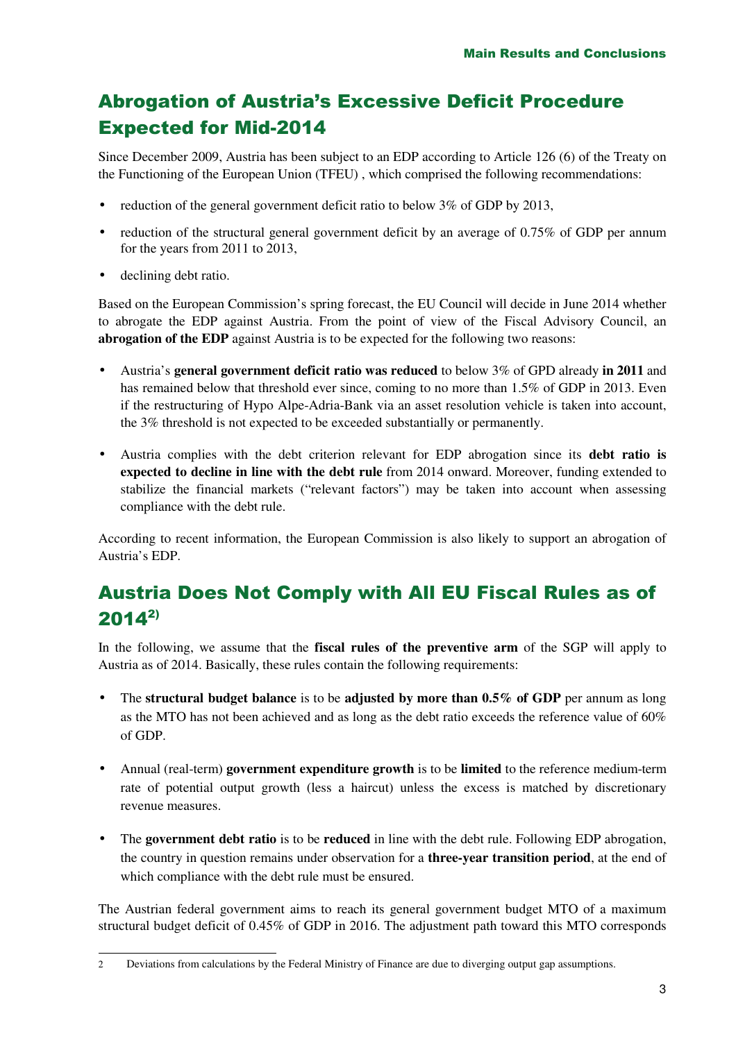# Abrogation of Austria's Excessive Deficit Procedure Expected for Mid-2014

Since December 2009, Austria has been subject to an EDP according to Article 126 (6) of the Treaty on the Functioning of the European Union (TFEU) , which comprised the following recommendations:

- reduction of the general government deficit ratio to below  $3\%$  of GDP by 2013,
- reduction of the structural general government deficit by an average of 0.75% of GDP per annum for the years from 2011 to 2013,
- declining debt ratio.

Based on the European Commission's spring forecast, the EU Council will decide in June 2014 whether to abrogate the EDP against Austria. From the point of view of the Fiscal Advisory Council, an **abrogation of the EDP** against Austria is to be expected for the following two reasons:

- Austria's **general government deficit ratio was reduced** to below 3% of GPD already **in 2011** and has remained below that threshold ever since, coming to no more than 1.5% of GDP in 2013. Even if the restructuring of Hypo Alpe-Adria-Bank via an asset resolution vehicle is taken into account, the 3% threshold is not expected to be exceeded substantially or permanently.
- Austria complies with the debt criterion relevant for EDP abrogation since its **debt ratio is expected to decline in line with the debt rule** from 2014 onward. Moreover, funding extended to stabilize the financial markets ("relevant factors") may be taken into account when assessing compliance with the debt rule.

According to recent information, the European Commission is also likely to support an abrogation of Austria's EDP.

## Austria Does Not Comply with All EU Fiscal Rules as of  $2014^{2}$

In the following, we assume that the **fiscal rules of the preventive arm** of the SGP will apply to Austria as of 2014. Basically, these rules contain the following requirements:

- The **structural budget balance** is to be **adjusted by more than 0.5% of GDP** per annum as long as the MTO has not been achieved and as long as the debt ratio exceeds the reference value of 60% of GDP.
- Annual (real-term) **government expenditure growth** is to be **limited** to the reference medium-term rate of potential output growth (less a haircut) unless the excess is matched by discretionary revenue measures.
- The **government debt ratio** is to be **reduced** in line with the debt rule. Following EDP abrogation, the country in question remains under observation for a **three-year transition period**, at the end of which compliance with the debt rule must be ensured.

The Austrian federal government aims to reach its general government budget MTO of a maximum structural budget deficit of 0.45% of GDP in 2016. The adjustment path toward this MTO corresponds

<sup>2</sup> Deviations from calculations by the Federal Ministry of Finance are due to diverging output gap assumptions.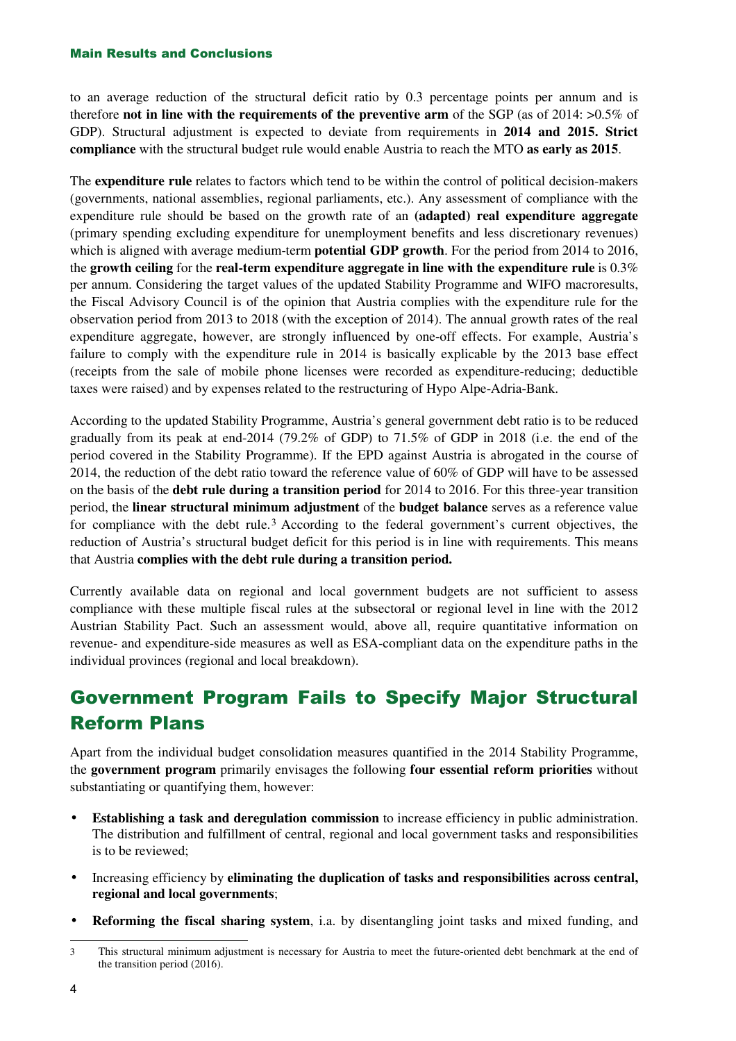#### Main Results and Conclusions

to an average reduction of the structural deficit ratio by 0.3 percentage points per annum and is therefore **not in line with the requirements of the preventive arm** of the SGP (as of 2014: >0.5% of GDP). Structural adjustment is expected to deviate from requirements in **2014 and 2015. Strict compliance** with the structural budget rule would enable Austria to reach the MTO **as early as 2015**.

The **expenditure rule** relates to factors which tend to be within the control of political decision-makers (governments, national assemblies, regional parliaments, etc.). Any assessment of compliance with the expenditure rule should be based on the growth rate of an **(adapted) real expenditure aggregate** (primary spending excluding expenditure for unemployment benefits and less discretionary revenues) which is aligned with average medium-term **potential GDP growth**. For the period from 2014 to 2016, the **growth ceiling** for the **real-term expenditure aggregate in line with the expenditure rule** is 0.3% per annum. Considering the target values of the updated Stability Programme and WIFO macroresults, the Fiscal Advisory Council is of the opinion that Austria complies with the expenditure rule for the observation period from 2013 to 2018 (with the exception of 2014). The annual growth rates of the real expenditure aggregate, however, are strongly influenced by one-off effects. For example, Austria's failure to comply with the expenditure rule in 2014 is basically explicable by the 2013 base effect (receipts from the sale of mobile phone licenses were recorded as expenditure-reducing; deductible taxes were raised) and by expenses related to the restructuring of Hypo Alpe-Adria-Bank.

According to the updated Stability Programme, Austria's general government debt ratio is to be reduced gradually from its peak at end-2014 (79.2% of GDP) to 71.5% of GDP in 2018 (i.e. the end of the period covered in the Stability Programme). If the EPD against Austria is abrogated in the course of 2014, the reduction of the debt ratio toward the reference value of 60% of GDP will have to be assessed on the basis of the **debt rule during a transition period** for 2014 to 2016. For this three-year transition period, the **linear structural minimum adjustment** of the **budget balance** serves as a reference value for compliance with the debt rule.<sup>3</sup> According to the federal government's current objectives, the reduction of Austria's structural budget deficit for this period is in line with requirements. This means that Austria **complies with the debt rule during a transition period.**

Currently available data on regional and local government budgets are not sufficient to assess compliance with these multiple fiscal rules at the subsectoral or regional level in line with the 2012 Austrian Stability Pact. Such an assessment would, above all, require quantitative information on revenue- and expenditure-side measures as well as ESA-compliant data on the expenditure paths in the individual provinces (regional and local breakdown).

## Government Program Fails to Specify Major Structural Reform Plans

Apart from the individual budget consolidation measures quantified in the 2014 Stability Programme, the **government program** primarily envisages the following **four essential reform priorities** without substantiating or quantifying them, however:

- **Establishing a task and deregulation commission** to increase efficiency in public administration. The distribution and fulfillment of central, regional and local government tasks and responsibilities is to be reviewed;
- Increasing efficiency by **eliminating the duplication of tasks and responsibilities across central, regional and local governments**;
- **Reforming the fiscal sharing system**, i.a. by disentangling joint tasks and mixed funding, and

<sup>3</sup> This structural minimum adjustment is necessary for Austria to meet the future-oriented debt benchmark at the end of the transition period (2016).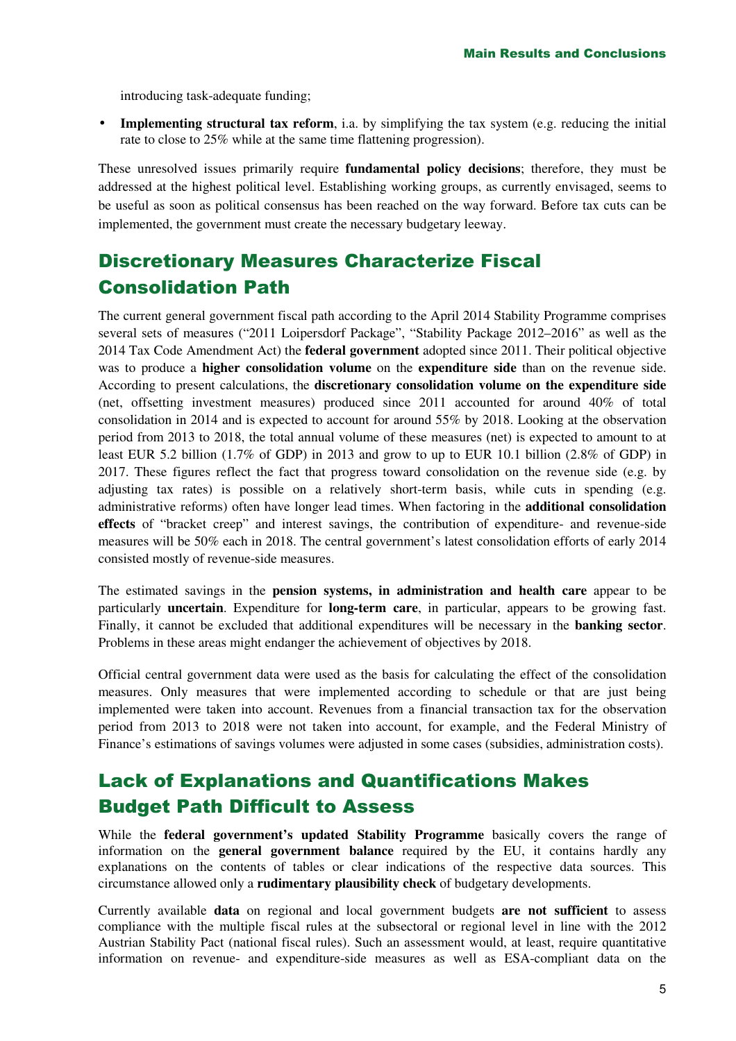introducing task-adequate funding;

• **Implementing structural tax reform**, i.a. by simplifying the tax system (e.g. reducing the initial rate to close to 25% while at the same time flattening progression).

These unresolved issues primarily require **fundamental policy decisions**; therefore, they must be addressed at the highest political level. Establishing working groups, as currently envisaged, seems to be useful as soon as political consensus has been reached on the way forward. Before tax cuts can be implemented, the government must create the necessary budgetary leeway.

## Discretionary Measures Characterize Fiscal Consolidation Path

The current general government fiscal path according to the April 2014 Stability Programme comprises several sets of measures ("2011 Loipersdorf Package", "Stability Package 2012–2016" as well as the 2014 Tax Code Amendment Act) the **federal government** adopted since 2011. Their political objective was to produce a **higher consolidation volume** on the **expenditure side** than on the revenue side. According to present calculations, the **discretionary consolidation volume on the expenditure side**  (net, offsetting investment measures) produced since 2011 accounted for around 40% of total consolidation in 2014 and is expected to account for around 55% by 2018. Looking at the observation period from 2013 to 2018, the total annual volume of these measures (net) is expected to amount to at least EUR 5.2 billion (1.7% of GDP) in 2013 and grow to up to EUR 10.1 billion (2.8% of GDP) in 2017. These figures reflect the fact that progress toward consolidation on the revenue side (e.g. by adjusting tax rates) is possible on a relatively short-term basis, while cuts in spending (e.g. administrative reforms) often have longer lead times. When factoring in the **additional consolidation effects** of "bracket creep" and interest savings, the contribution of expenditure- and revenue-side measures will be 50% each in 2018. The central government's latest consolidation efforts of early 2014 consisted mostly of revenue-side measures.

The estimated savings in the **pension systems, in administration and health care** appear to be particularly **uncertain**. Expenditure for **long-term care**, in particular, appears to be growing fast. Finally, it cannot be excluded that additional expenditures will be necessary in the **banking sector**. Problems in these areas might endanger the achievement of objectives by 2018.

Official central government data were used as the basis for calculating the effect of the consolidation measures. Only measures that were implemented according to schedule or that are just being implemented were taken into account. Revenues from a financial transaction tax for the observation period from 2013 to 2018 were not taken into account, for example, and the Federal Ministry of Finance's estimations of savings volumes were adjusted in some cases (subsidies, administration costs).

### Lack of Explanations and Quantifications Makes Budget Path Difficult to Assess

While the **federal government's updated Stability Programme** basically covers the range of information on the **general government balance** required by the EU, it contains hardly any explanations on the contents of tables or clear indications of the respective data sources. This circumstance allowed only a **rudimentary plausibility check** of budgetary developments.

Currently available **data** on regional and local government budgets **are not sufficient** to assess compliance with the multiple fiscal rules at the subsectoral or regional level in line with the 2012 Austrian Stability Pact (national fiscal rules). Such an assessment would, at least, require quantitative information on revenue- and expenditure-side measures as well as ESA-compliant data on the